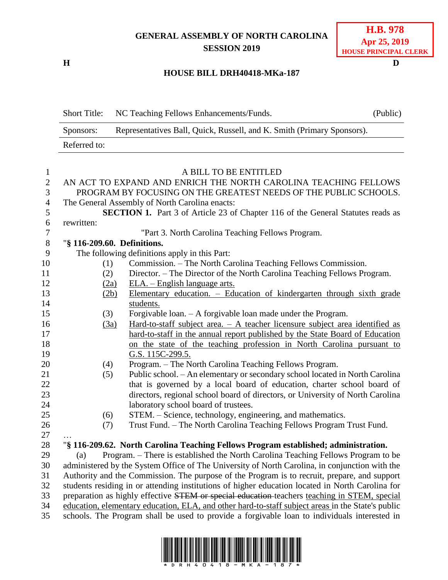## **GENERAL ASSEMBLY OF NORTH CAROLINA SESSION 2019**

**H D**

## **H.B. 978 Apr 25, 2019 HOUSE PRINCIPAL CLERK**

## **HOUSE BILL DRH40418-MKa-187**

Short Title: NC Teaching Fellows Enhancements/Funds. (Public) Sponsors: Representatives Ball, Quick, Russell, and K. Smith (Primary Sponsors). Referred to:

| $\mathbf{1}$   | A BILL TO BE ENTITLED                                                                             |                                                                                                  |  |  |  |  |
|----------------|---------------------------------------------------------------------------------------------------|--------------------------------------------------------------------------------------------------|--|--|--|--|
| $\overline{2}$ | AN ACT TO EXPAND AND ENRICH THE NORTH CAROLINA TEACHING FELLOWS                                   |                                                                                                  |  |  |  |  |
| 3              | PROGRAM BY FOCUSING ON THE GREATEST NEEDS OF THE PUBLIC SCHOOLS.                                  |                                                                                                  |  |  |  |  |
| $\overline{4}$ |                                                                                                   | The General Assembly of North Carolina enacts:                                                   |  |  |  |  |
| 5              | <b>SECTION 1.</b> Part 3 of Article 23 of Chapter 116 of the General Statutes reads as            |                                                                                                  |  |  |  |  |
| 6              | rewritten:                                                                                        |                                                                                                  |  |  |  |  |
| $\overline{7}$ |                                                                                                   | "Part 3. North Carolina Teaching Fellows Program.                                                |  |  |  |  |
| $\,8\,$        | "§ 116-209.60. Definitions.                                                                       |                                                                                                  |  |  |  |  |
| 9              |                                                                                                   | The following definitions apply in this Part:                                                    |  |  |  |  |
| 10             | (1)                                                                                               | Commission. – The North Carolina Teaching Fellows Commission.                                    |  |  |  |  |
| 11             | (2)                                                                                               | Director. - The Director of the North Carolina Teaching Fellows Program.                         |  |  |  |  |
| 12             | (2a)                                                                                              | <u>ELA. – English language arts.</u>                                                             |  |  |  |  |
| 13             | (2b)                                                                                              | Elementary education. - Education of kindergarten through sixth grade                            |  |  |  |  |
| 14             |                                                                                                   | students.                                                                                        |  |  |  |  |
| 15             | (3)                                                                                               | Forgivable loan. - A forgivable loan made under the Program.                                     |  |  |  |  |
| 16             | (3a)                                                                                              | Hard-to-staff subject area. $-$ A teacher licensure subject area identified as                   |  |  |  |  |
| 17             |                                                                                                   | hard-to-staff in the annual report published by the State Board of Education                     |  |  |  |  |
| 18             |                                                                                                   | on the state of the teaching profession in North Carolina pursuant to                            |  |  |  |  |
| 19             |                                                                                                   | G.S. 115C-299.5.                                                                                 |  |  |  |  |
| 20             | (4)                                                                                               | Program. - The North Carolina Teaching Fellows Program.                                          |  |  |  |  |
| 21             | (5)                                                                                               | Public school. - An elementary or secondary school located in North Carolina                     |  |  |  |  |
| 22             |                                                                                                   | that is governed by a local board of education, charter school board of                          |  |  |  |  |
| 23             |                                                                                                   | directors, regional school board of directors, or University of North Carolina                   |  |  |  |  |
| 24             |                                                                                                   | laboratory school board of trustees.                                                             |  |  |  |  |
| 25             | (6)                                                                                               | STEM. - Science, technology, engineering, and mathematics.                                       |  |  |  |  |
| 26             | (7)                                                                                               | Trust Fund. - The North Carolina Teaching Fellows Program Trust Fund.                            |  |  |  |  |
| 27             |                                                                                                   |                                                                                                  |  |  |  |  |
| 28             |                                                                                                   | "§ 116-209.62. North Carolina Teaching Fellows Program established; administration.              |  |  |  |  |
| 29             | (a)                                                                                               | Program. - There is established the North Carolina Teaching Fellows Program to be                |  |  |  |  |
| 30             |                                                                                                   | administered by the System Office of The University of North Carolina, in conjunction with the   |  |  |  |  |
| 31             |                                                                                                   | Authority and the Commission. The purpose of the Program is to recruit, prepare, and support     |  |  |  |  |
| 32             |                                                                                                   | students residing in or attending institutions of higher education located in North Carolina for |  |  |  |  |
| 33             | preparation as highly effective STEM or special education teachers teaching in STEM, special      |                                                                                                  |  |  |  |  |
| 34             | education, elementary education, ELA, and other hard-to-staff subject areas in the State's public |                                                                                                  |  |  |  |  |
| 35             | schools. The Program shall be used to provide a forgivable loan to individuals interested in      |                                                                                                  |  |  |  |  |
|                |                                                                                                   |                                                                                                  |  |  |  |  |

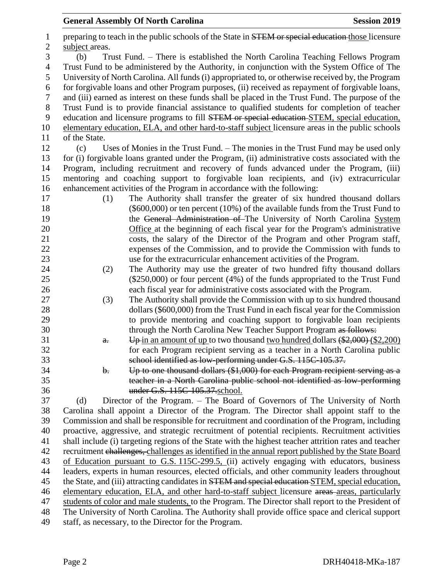1 preparing to teach in the public schools of the State in STEM or special education those licensure 2 subject areas. (b) Trust Fund. – There is established the North Carolina Teaching Fellows Program Trust Fund to be administered by the Authority, in conjunction with the System Office of The University of North Carolina. All funds (i) appropriated to, or otherwise received by, the Program for forgivable loans and other Program purposes, (ii) received as repayment of forgivable loans, and (iii) earned as interest on these funds shall be placed in the Trust Fund. The purpose of the Trust Fund is to provide financial assistance to qualified students for completion of teacher 9 education and licensure programs to fill **STEM** or special education STEM, special education, elementary education, ELA, and other hard-to-staff subject licensure areas in the public schools of the State. (c) Uses of Monies in the Trust Fund. – The monies in the Trust Fund may be used only for (i) forgivable loans granted under the Program, (ii) administrative costs associated with the Program, including recruitment and recovery of funds advanced under the Program, (iii) mentoring and coaching support to forgivable loan recipients, and (iv) extracurricular enhancement activities of the Program in accordance with the following: (1) The Authority shall transfer the greater of six hundred thousand dollars (\$600,000) or ten percent (10%) of the available funds from the Trust Fund to 19 the General Administration of The University of North Carolina System Office at the beginning of each fiscal year for the Program's administrative costs, the salary of the Director of the Program and other Program staff, expenses of the Commission, and to provide the Commission with funds to use for the extracurricular enhancement activities of the Program. (2) The Authority may use the greater of two hundred fifty thousand dollars (\$250,000) or four percent (4%) of the funds appropriated to the Trust Fund each fiscal year for administrative costs associated with the Program. (3) The Authority shall provide the Commission with up to six hundred thousand dollars (\$600,000) from the Trust Fund in each fiscal year for the Commission to provide mentoring and coaching support to forgivable loan recipients 30 through the North Carolina New Teacher Support Program as follows: **a.** Up in an amount of up to two thousand two hundred dollars  $(\frac{$2,000}{62,200})$  for each Program recipient serving as a teacher in a North Carolina public school identified as low-performing under G.S. 115C-105.37. b. Up to one thousand dollars (\$1,000) for each Program recipient serving as a teacher in a North Carolina public school not identified as low-performing under G.S. 115C-105.37.school. (d) Director of the Program. – The Board of Governors of The University of North Carolina shall appoint a Director of the Program. The Director shall appoint staff to the Commission and shall be responsible for recruitment and coordination of the Program, including proactive, aggressive, and strategic recruitment of potential recipients. Recruitment activities shall include (i) targeting regions of the State with the highest teacher attrition rates and teacher recruitment challenges, challenges as identified in the annual report published by the State Board of Education pursuant to G.S. 115C-299.5, (ii) actively engaging with educators, business leaders, experts in human resources, elected officials, and other community leaders throughout 45 the State, and (iii) attracting candidates in **STEM and special education** STEM, special education, 46 elementary education, ELA, and other hard-to-staff subject licensure areas-areas, particularly students of color and male students, to the Program. The Director shall report to the President of The University of North Carolina. The Authority shall provide office space and clerical support staff, as necessary, to the Director for the Program.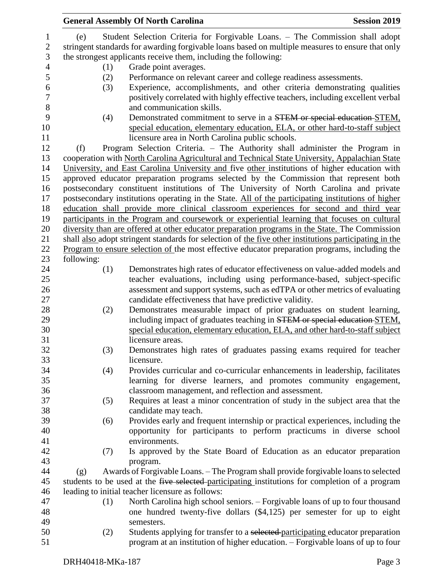|                  |                                                                                                  | <b>General Assembly Of North Carolina</b>                                                              | <b>Session 2019</b> |  |  |  |  |  |
|------------------|--------------------------------------------------------------------------------------------------|--------------------------------------------------------------------------------------------------------|---------------------|--|--|--|--|--|
| $\mathbf{1}$     | (e)                                                                                              | Student Selection Criteria for Forgivable Loans. - The Commission shall adopt                          |                     |  |  |  |  |  |
| $\sqrt{2}$       | stringent standards for awarding forgivable loans based on multiple measures to ensure that only |                                                                                                        |                     |  |  |  |  |  |
| $\mathfrak{Z}$   | the strongest applicants receive them, including the following:                                  |                                                                                                        |                     |  |  |  |  |  |
| $\overline{4}$   | Grade point averages.<br>(1)                                                                     |                                                                                                        |                     |  |  |  |  |  |
| 5                | (2)                                                                                              | Performance on relevant career and college readiness assessments.                                      |                     |  |  |  |  |  |
| $\boldsymbol{6}$ | (3)                                                                                              | Experience, accomplishments, and other criteria demonstrating qualities                                |                     |  |  |  |  |  |
| $\boldsymbol{7}$ |                                                                                                  | positively correlated with highly effective teachers, including excellent verbal                       |                     |  |  |  |  |  |
| 8                |                                                                                                  | and communication skills.                                                                              |                     |  |  |  |  |  |
| 9                | (4)                                                                                              | Demonstrated commitment to serve in a STEM or special education-STEM,                                  |                     |  |  |  |  |  |
| 10               |                                                                                                  | special education, elementary education, ELA, or other hard-to-staff subject                           |                     |  |  |  |  |  |
| 11               |                                                                                                  | licensure area in North Carolina public schools.                                                       |                     |  |  |  |  |  |
| 12               | (f)                                                                                              | Program Selection Criteria. - The Authority shall administer the Program in                            |                     |  |  |  |  |  |
| 13               |                                                                                                  | cooperation with North Carolina Agricultural and Technical State University, Appalachian State         |                     |  |  |  |  |  |
| 14               |                                                                                                  | University, and East Carolina University and five other institutions of higher education with          |                     |  |  |  |  |  |
| 15               |                                                                                                  | approved educator preparation programs selected by the Commission that represent both                  |                     |  |  |  |  |  |
| 16               |                                                                                                  | postsecondary constituent institutions of The University of North Carolina and private                 |                     |  |  |  |  |  |
| 17               |                                                                                                  | postsecondary institutions operating in the State. All of the participating institutions of higher     |                     |  |  |  |  |  |
| 18               |                                                                                                  | education shall provide more clinical classroom experiences for second and third year                  |                     |  |  |  |  |  |
| 19               |                                                                                                  | participants in the Program and coursework or experiential learning that focuses on cultural           |                     |  |  |  |  |  |
| 20               |                                                                                                  | diversity than are offered at other educator preparation programs in the State. The Commission         |                     |  |  |  |  |  |
| 21               |                                                                                                  | shall also adopt stringent standards for selection of the five other institutions participating in the |                     |  |  |  |  |  |
| 22               |                                                                                                  | Program to ensure selection of the most effective educator preparation programs, including the         |                     |  |  |  |  |  |
| 23               | following:                                                                                       |                                                                                                        |                     |  |  |  |  |  |
| 24               | (1)                                                                                              | Demonstrates high rates of educator effectiveness on value-added models and                            |                     |  |  |  |  |  |
| 25               |                                                                                                  | teacher evaluations, including using performance-based, subject-specific                               |                     |  |  |  |  |  |
| 26               |                                                                                                  | assessment and support systems, such as edTPA or other metrics of evaluating                           |                     |  |  |  |  |  |
| 27               |                                                                                                  | candidate effectiveness that have predictive validity.                                                 |                     |  |  |  |  |  |
| 28               | (2)                                                                                              | Demonstrates measurable impact of prior graduates on student learning,                                 |                     |  |  |  |  |  |
| 29               |                                                                                                  | including impact of graduates teaching in STEM or special education-STEM.                              |                     |  |  |  |  |  |
| 30               |                                                                                                  | special education, elementary education, ELA, and other hard-to-staff subject                          |                     |  |  |  |  |  |
| 31               |                                                                                                  | licensure areas.                                                                                       |                     |  |  |  |  |  |
| 32               | (3)                                                                                              | Demonstrates high rates of graduates passing exams required for teacher                                |                     |  |  |  |  |  |
| 33               |                                                                                                  | licensure.                                                                                             |                     |  |  |  |  |  |
| 34               | (4)                                                                                              | Provides curricular and co-curricular enhancements in leadership, facilitates                          |                     |  |  |  |  |  |
| 35               |                                                                                                  | learning for diverse learners, and promotes community engagement,                                      |                     |  |  |  |  |  |
| 36               |                                                                                                  | classroom management, and reflection and assessment.                                                   |                     |  |  |  |  |  |
| 37               | (5)                                                                                              | Requires at least a minor concentration of study in the subject area that the                          |                     |  |  |  |  |  |
| 38               |                                                                                                  | candidate may teach.                                                                                   |                     |  |  |  |  |  |
| 39               | (6)                                                                                              | Provides early and frequent internship or practical experiences, including the                         |                     |  |  |  |  |  |
| 40               |                                                                                                  | opportunity for participants to perform practicums in diverse school                                   |                     |  |  |  |  |  |
| 41               |                                                                                                  | environments.                                                                                          |                     |  |  |  |  |  |
| 42               | (7)                                                                                              | Is approved by the State Board of Education as an educator preparation                                 |                     |  |  |  |  |  |
| 43               |                                                                                                  | program.                                                                                               |                     |  |  |  |  |  |
| 44               | (g)                                                                                              | Awards of Forgivable Loans. - The Program shall provide forgivable loans to selected                   |                     |  |  |  |  |  |
| 45               |                                                                                                  | students to be used at the five selected-participating institutions for completion of a program        |                     |  |  |  |  |  |
| 46               |                                                                                                  | leading to initial teacher licensure as follows:                                                       |                     |  |  |  |  |  |
| 47               | (1)                                                                                              | North Carolina high school seniors. - Forgivable loans of up to four thousand                          |                     |  |  |  |  |  |
| 48               |                                                                                                  | one hundred twenty-five dollars (\$4,125) per semester for up to eight                                 |                     |  |  |  |  |  |
| 49               |                                                                                                  | semesters.                                                                                             |                     |  |  |  |  |  |
| 50               | (2)                                                                                              | Students applying for transfer to a selected-participating educator preparation                        |                     |  |  |  |  |  |
| 51               |                                                                                                  | program at an institution of higher education. - Forgivable loans of up to four                        |                     |  |  |  |  |  |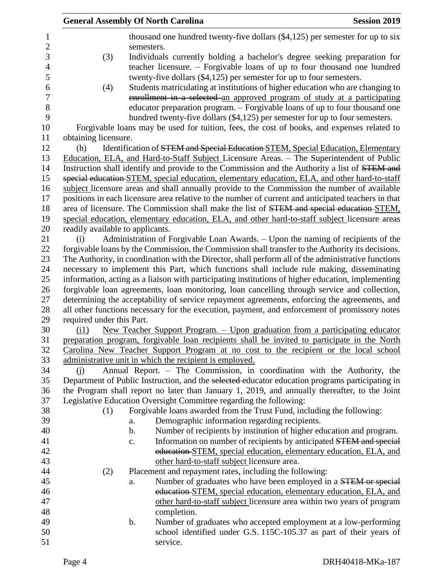|                          | <b>General Assembly Of North Carolina</b> | <b>Session 2019</b> |                                                                                                                                                                                              |  |
|--------------------------|-------------------------------------------|---------------------|----------------------------------------------------------------------------------------------------------------------------------------------------------------------------------------------|--|
| 1                        |                                           |                     | thousand one hundred twenty-five dollars (\$4,125) per semester for up to six                                                                                                                |  |
| $\mathbf{2}$             |                                           | semesters.          |                                                                                                                                                                                              |  |
| 3                        | (3)                                       |                     | Individuals currently holding a bachelor's degree seeking preparation for                                                                                                                    |  |
| $\overline{\mathcal{A}}$ |                                           |                     | teacher licensure. - Forgivable loans of up to four thousand one hundred                                                                                                                     |  |
| 5                        |                                           |                     | twenty-five dollars $(\$4,125)$ per semester for up to four semesters.                                                                                                                       |  |
| 6                        | (4)                                       |                     | Students matriculating at institutions of higher education who are changing to                                                                                                               |  |
| 7                        |                                           |                     | enrollment in a selected an approved program of study at a participating                                                                                                                     |  |
| 8                        |                                           |                     | educator preparation program. - Forgivable loans of up to four thousand one                                                                                                                  |  |
| 9                        |                                           |                     | hundred twenty-five dollars (\$4,125) per semester for up to four semesters.                                                                                                                 |  |
| 10                       |                                           |                     | Forgivable loans may be used for tuition, fees, the cost of books, and expenses related to                                                                                                   |  |
| 11                       | obtaining licensure.                      |                     |                                                                                                                                                                                              |  |
| 12                       | (h)                                       |                     | Identification of STEM and Special Education STEM, Special Education, Elementary                                                                                                             |  |
| 13                       |                                           |                     | Education, ELA, and Hard-to-Staff Subject Licensure Areas. - The Superintendent of Public                                                                                                    |  |
| 14                       |                                           |                     | Instruction shall identify and provide to the Commission and the Authority a list of STEM and                                                                                                |  |
| 15                       |                                           |                     | special education STEM, special education, elementary education, ELA, and other hard-to-staff                                                                                                |  |
| 16                       |                                           |                     | subject licensure areas and shall annually provide to the Commission the number of available                                                                                                 |  |
| 17                       |                                           |                     | positions in each licensure area relative to the number of current and anticipated teachers in that                                                                                          |  |
| 18                       |                                           |                     | area of licensure. The Commission shall make the list of STEM and special education-STEM,                                                                                                    |  |
| 19                       |                                           |                     | special education, elementary education, ELA, and other hard-to-staff subject licensure areas                                                                                                |  |
| 20                       | readily available to applicants.          |                     |                                                                                                                                                                                              |  |
| 21                       | (i)                                       |                     | Administration of Forgivable Loan Awards. – Upon the naming of recipients of the                                                                                                             |  |
| 22                       |                                           |                     | forgivable loans by the Commission, the Commission shall transfer to the Authority its decisions.                                                                                            |  |
| 23                       |                                           |                     | The Authority, in coordination with the Director, shall perform all of the administrative functions                                                                                          |  |
| 24                       |                                           |                     | necessary to implement this Part, which functions shall include rule making, disseminating                                                                                                   |  |
| 25<br>26                 |                                           |                     | information, acting as a liaison with participating institutions of higher education, implementing                                                                                           |  |
| 27                       |                                           |                     | forgivable loan agreements, loan monitoring, loan cancelling through service and collection,<br>determining the acceptability of service repayment agreements, enforcing the agreements, and |  |
| 28                       |                                           |                     | all other functions necessary for the execution, payment, and enforcement of promissory notes                                                                                                |  |
| 29                       | required under this Part.                 |                     |                                                                                                                                                                                              |  |
| 30                       | (i1)                                      |                     | New Teacher Support Program. - Upon graduation from a participating educator                                                                                                                 |  |
| 31                       |                                           |                     | preparation program, forgivable loan recipients shall be invited to participate in the North                                                                                                 |  |
| 32                       |                                           |                     | Carolina New Teacher Support Program at no cost to the recipient or the local school                                                                                                         |  |
| 33                       |                                           |                     | administrative unit in which the recipient is employed.                                                                                                                                      |  |
| 34                       | (i)                                       |                     | Annual Report. - The Commission, in coordination with the Authority, the                                                                                                                     |  |
| 35                       |                                           |                     | Department of Public Instruction, and the selected educator education programs participating in                                                                                              |  |
| 36                       |                                           |                     | the Program shall report no later than January 1, 2019, and annually thereafter, to the Joint                                                                                                |  |
| 37                       |                                           |                     | Legislative Education Oversight Committee regarding the following:                                                                                                                           |  |
| 38                       | (1)                                       |                     | Forgivable loans awarded from the Trust Fund, including the following:                                                                                                                       |  |
| 39                       |                                           | a.                  | Demographic information regarding recipients.                                                                                                                                                |  |
| 40                       |                                           | $\mathbf b$ .       | Number of recipients by institution of higher education and program.                                                                                                                         |  |
| 41                       |                                           | c.                  | Information on number of recipients by anticipated STEM and special                                                                                                                          |  |
| 42                       |                                           |                     | education-STEM, special education, elementary education, ELA, and                                                                                                                            |  |
| 43                       |                                           |                     | other hard-to-staff subject licensure area.                                                                                                                                                  |  |
| 44                       | (2)                                       |                     | Placement and repayment rates, including the following:                                                                                                                                      |  |
| 45                       |                                           | a.                  | Number of graduates who have been employed in a <b>STEM</b> or special                                                                                                                       |  |
| 46                       |                                           |                     | education STEM, special education, elementary education, ELA, and                                                                                                                            |  |
| 47                       |                                           |                     | other hard-to-staff subject licensure area within two years of program                                                                                                                       |  |
| 48                       |                                           |                     | completion.                                                                                                                                                                                  |  |
| 49                       |                                           | b.                  | Number of graduates who accepted employment at a low-performing                                                                                                                              |  |
| 50                       |                                           |                     | school identified under G.S. 115C-105.37 as part of their years of                                                                                                                           |  |
| 51                       |                                           |                     | service.                                                                                                                                                                                     |  |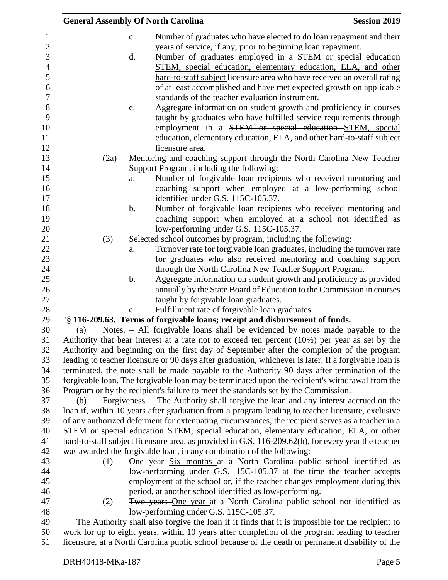| <b>General Assembly Of North Carolina</b> |    |                                                                                                                                                                                            | <b>Session 2019</b> |
|-------------------------------------------|----|--------------------------------------------------------------------------------------------------------------------------------------------------------------------------------------------|---------------------|
|                                           | c. | Number of graduates who have elected to do loan repayment and their                                                                                                                        |                     |
|                                           |    | years of service, if any, prior to beginning loan repayment.                                                                                                                               |                     |
|                                           | d. | Number of graduates employed in a STEM or special education                                                                                                                                |                     |
|                                           |    | STEM, special education, elementary education, ELA, and other                                                                                                                              |                     |
|                                           |    | hard-to-staff subject licensure area who have received an overall rating                                                                                                                   |                     |
|                                           |    | of at least accomplished and have met expected growth on applicable                                                                                                                        |                     |
|                                           |    | standards of the teacher evaluation instrument.                                                                                                                                            |                     |
|                                           |    | Aggregate information on student growth and proficiency in courses                                                                                                                         |                     |
|                                           | e. | taught by graduates who have fulfilled service requirements through                                                                                                                        |                     |
|                                           |    | employment in a STEM or special education STEM, special                                                                                                                                    |                     |
|                                           |    | education, elementary education, ELA, and other hard-to-staff subject                                                                                                                      |                     |
|                                           |    | licensure area.                                                                                                                                                                            |                     |
| (2a)                                      |    | Mentoring and coaching support through the North Carolina New Teacher                                                                                                                      |                     |
|                                           |    | Support Program, including the following:                                                                                                                                                  |                     |
|                                           |    | Number of forgivable loan recipients who received mentoring and                                                                                                                            |                     |
|                                           | a. | coaching support when employed at a low-performing school                                                                                                                                  |                     |
|                                           |    | identified under G.S. 115C-105.37.                                                                                                                                                         |                     |
|                                           |    |                                                                                                                                                                                            |                     |
|                                           | b. | Number of forgivable loan recipients who received mentoring and                                                                                                                            |                     |
|                                           |    | coaching support when employed at a school not identified as                                                                                                                               |                     |
|                                           |    | low-performing under G.S. 115C-105.37.                                                                                                                                                     |                     |
| (3)                                       |    | Selected school outcomes by program, including the following:                                                                                                                              |                     |
|                                           | a. | Turnover rate for forgivable loan graduates, including the turnover rate                                                                                                                   |                     |
|                                           |    | for graduates who also received mentoring and coaching support                                                                                                                             |                     |
|                                           |    | through the North Carolina New Teacher Support Program.                                                                                                                                    |                     |
|                                           | b. | Aggregate information on student growth and proficiency as provided                                                                                                                        |                     |
|                                           |    | annually by the State Board of Education to the Commission in courses                                                                                                                      |                     |
|                                           |    | taught by forgivable loan graduates.<br>Fulfillment rate of forgivable loan graduates.                                                                                                     |                     |
|                                           | c. |                                                                                                                                                                                            |                     |
|                                           |    | "§ 116-209.63. Terms of forgivable loans; receipt and disbursement of funds.                                                                                                               |                     |
| (a)                                       |    | Notes. - All forgivable loans shall be evidenced by notes made payable to the                                                                                                              |                     |
|                                           |    | Authority that bear interest at a rate not to exceed ten percent (10%) per year as set by the<br>Authority and beginning on the first day of September after the completion of the program |                     |
|                                           |    | leading to teacher licensure or 90 days after graduation, whichever is later. If a forgivable loan is                                                                                      |                     |
|                                           |    | terminated, the note shall be made payable to the Authority 90 days after termination of the                                                                                               |                     |
|                                           |    | forgivable loan. The forgivable loan may be terminated upon the recipient's withdrawal from the                                                                                            |                     |
|                                           |    | Program or by the recipient's failure to meet the standards set by the Commission.                                                                                                         |                     |
| (b)                                       |    | Forgiveness. – The Authority shall forgive the loan and any interest accrued on the                                                                                                        |                     |
|                                           |    | loan if, within 10 years after graduation from a program leading to teacher licensure, exclusive                                                                                           |                     |
|                                           |    | of any authorized deferment for extenuating circumstances, the recipient serves as a teacher in a                                                                                          |                     |
|                                           |    | STEM or special education-STEM, special education, elementary education, ELA, or other                                                                                                     |                     |
|                                           |    | hard-to-staff subject licensure area, as provided in G.S. 116-209.62(h), for every year the teacher                                                                                        |                     |
|                                           |    | was awarded the forgivable loan, in any combination of the following:                                                                                                                      |                     |
| (1)                                       |    | One year-Six months at a North Carolina public school identified as                                                                                                                        |                     |
|                                           |    | low-performing under G.S. 115C-105.37 at the time the teacher accepts                                                                                                                      |                     |
|                                           |    | employment at the school or, if the teacher changes employment during this                                                                                                                 |                     |
|                                           |    | period, at another school identified as low-performing.                                                                                                                                    |                     |
| (2)                                       |    | Two years One year at a North Carolina public school not identified as                                                                                                                     |                     |
|                                           |    | low-performing under G.S. 115C-105.37.                                                                                                                                                     |                     |
|                                           |    | The Authority shall also forgive the loan if it finds that it is impossible for the recipient to                                                                                           |                     |
|                                           |    | work for up to eight years, within 10 years after completion of the program leading to teacher                                                                                             |                     |
|                                           |    |                                                                                                                                                                                            |                     |

licensure, at a North Carolina public school because of the death or permanent disability of the